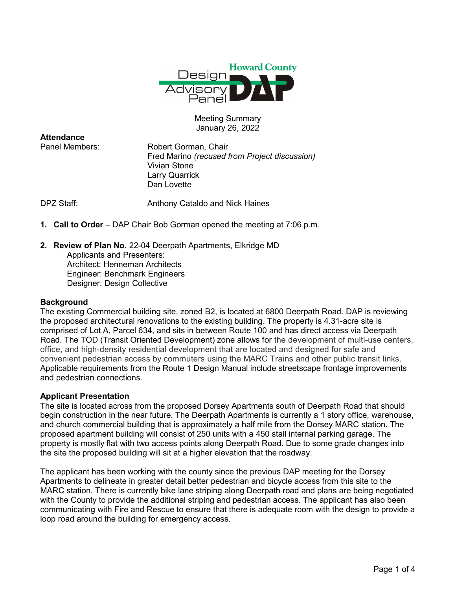

## Meeting Summary January 26, 2022

**Attendance** 

Panel Members: Robert Gorman, Chair Fred Marino (recused from Project discussion) Vivian Stone Larry Quarrick Dan Lovette

DPZ Staff: Anthony Cataldo and Nick Haines

- 1. Call to Order DAP Chair Bob Gorman opened the meeting at 7:06 p.m.
- 2. Review of Plan No. 22-04 Deerpath Apartments, Elkridge MD Applicants and Presenters: Architect: Henneman Architects Engineer: Benchmark Engineers Designer: Design Collective

### **Background**

The existing Commercial building site, zoned B2, is located at 6800 Deerpath Road. DAP is reviewing the proposed architectural renovations to the existing building. The property is 4.31-acre site is comprised of Lot A, Parcel 634, and sits in between Route 100 and has direct access via Deerpath Road. The TOD (Transit Oriented Development) zone allows for the development of multi-use centers, office, and high-density residential development that are located and designed for safe and convenient pedestrian access by commuters using the MARC Trains and other public transit links. Applicable requirements from the Route 1 Design Manual include streetscape frontage improvements and pedestrian connections.

### Applicant Presentation

The site is located across from the proposed Dorsey Apartments south of Deerpath Road that should begin construction in the near future. The Deerpath Apartments is currently a 1 story office, warehouse, and church commercial building that is approximately a half mile from the Dorsey MARC station. The proposed apartment building will consist of 250 units with a 450 stall internal parking garage. The property is mostly flat with two access points along Deerpath Road. Due to some grade changes into the site the proposed building will sit at a higher elevation that the roadway.

The applicant has been working with the county since the previous DAP meeting for the Dorsey Apartments to delineate in greater detail better pedestrian and bicycle access from this site to the MARC station. There is currently bike lane striping along Deerpath road and plans are being negotiated with the County to provide the additional striping and pedestrian access. The applicant has also been communicating with Fire and Rescue to ensure that there is adequate room with the design to provide a loop road around the building for emergency access.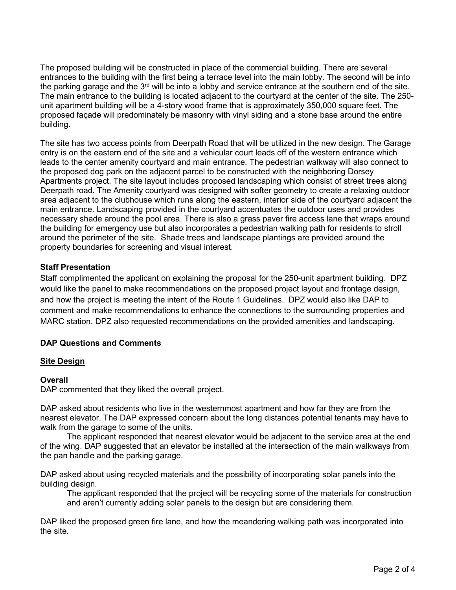The proposed building will be constructed in place of the commercial building. There are several entrances to the building with the first being a terrace level into the main lobby. The second will be into the parking garage and the  $3<sup>rd</sup>$  will be into a lobby and service entrance at the southern end of the site. The main entrance to the building is located adjacent to the courtyard at the center of the site. The 250 unit apartment building will be a 4-story wood frame that is approximately 350,000 square feet. The proposed façade will predominately be masonry with vinyl siding and a stone base around the entire building.

The site has two access points from Deerpath Road that will be utilized in the new design. The Garage entry is on the eastern end of the site and a vehicular court leads off of the western entrance which leads to the center amenity courtyard and main entrance. The pedestrian walkway will also connect to the proposed dog park on the adjacent parcel to be constructed with the neighboring Dorsey Apartments project. The site layout includes proposed landscaping which consist of street trees along Deerpath road. The Amenity courtyard was designed with softer geometry to create a relaxing outdoor area adjacent to the clubhouse which runs along the eastern, interior side of the courtyard adjacent the main entrance. Landscaping provided in the courtyard accentuates the outdoor uses and provides necessary shade around the pool area. There is also a grass paver fire access lane that wraps around the building for emergency use but also incorporates a pedestrian walking path for residents to stroll around the perimeter of the site. Shade trees and landscape plantings are provided around the property boundaries for screening and visual interest.

# Staff Presentation

Staff complimented the applicant on explaining the proposal for the 250-unit apartment building. DPZ would like the panel to make recommendations on the proposed project layout and frontage design, and how the project is meeting the intent of the Route 1 Guidelines. DPZ would also like DAP to comment and make recommendations to enhance the connections to the surrounding properties and MARC station. DPZ also requested recommendations on the provided amenities and landscaping.

# DAP Questions and Comments

### Site Design

### **Overall**

DAP commented that they liked the overall project.

DAP asked about residents who live in the westernmost apartment and how far they are from the nearest elevator. The DAP expressed concern about the long distances potential tenants may have to walk from the garage to some of the units.

 The applicant responded that nearest elevator would be adjacent to the service area at the end of the wing. DAP suggested that an elevator be installed at the intersection of the main walkways from the pan handle and the parking garage.

DAP asked about using recycled materials and the possibility of incorporating solar panels into the building design.

The applicant responded that the project will be recycling some of the materials for construction and aren't currently adding solar panels to the design but are considering them.

DAP liked the proposed green fire lane, and how the meandering walking path was incorporated into the site.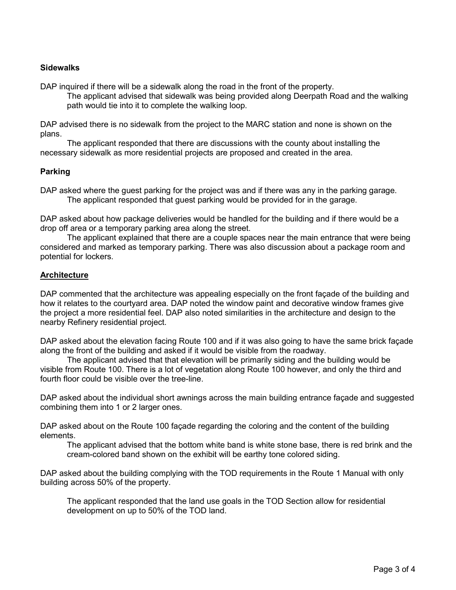### **Sidewalks**

DAP inquired if there will be a sidewalk along the road in the front of the property.

The applicant advised that sidewalk was being provided along Deerpath Road and the walking path would tie into it to complete the walking loop.

DAP advised there is no sidewalk from the project to the MARC station and none is shown on the plans.

 The applicant responded that there are discussions with the county about installing the necessary sidewalk as more residential projects are proposed and created in the area.

### Parking

DAP asked where the guest parking for the project was and if there was any in the parking garage. The applicant responded that guest parking would be provided for in the garage.

DAP asked about how package deliveries would be handled for the building and if there would be a drop off area or a temporary parking area along the street.

 The applicant explained that there are a couple spaces near the main entrance that were being considered and marked as temporary parking. There was also discussion about a package room and potential for lockers.

### **Architecture**

DAP commented that the architecture was appealing especially on the front façade of the building and how it relates to the courtyard area. DAP noted the window paint and decorative window frames give the project a more residential feel. DAP also noted similarities in the architecture and design to the nearby Refinery residential project.

DAP asked about the elevation facing Route 100 and if it was also going to have the same brick façade along the front of the building and asked if it would be visible from the roadway.

 The applicant advised that that elevation will be primarily siding and the building would be visible from Route 100. There is a lot of vegetation along Route 100 however, and only the third and fourth floor could be visible over the tree-line.

DAP asked about the individual short awnings across the main building entrance façade and suggested combining them into 1 or 2 larger ones.

DAP asked about on the Route 100 façade regarding the coloring and the content of the building elements.

The applicant advised that the bottom white band is white stone base, there is red brink and the cream-colored band shown on the exhibit will be earthy tone colored siding.

DAP asked about the building complying with the TOD requirements in the Route 1 Manual with only building across 50% of the property.

The applicant responded that the land use goals in the TOD Section allow for residential development on up to 50% of the TOD land.